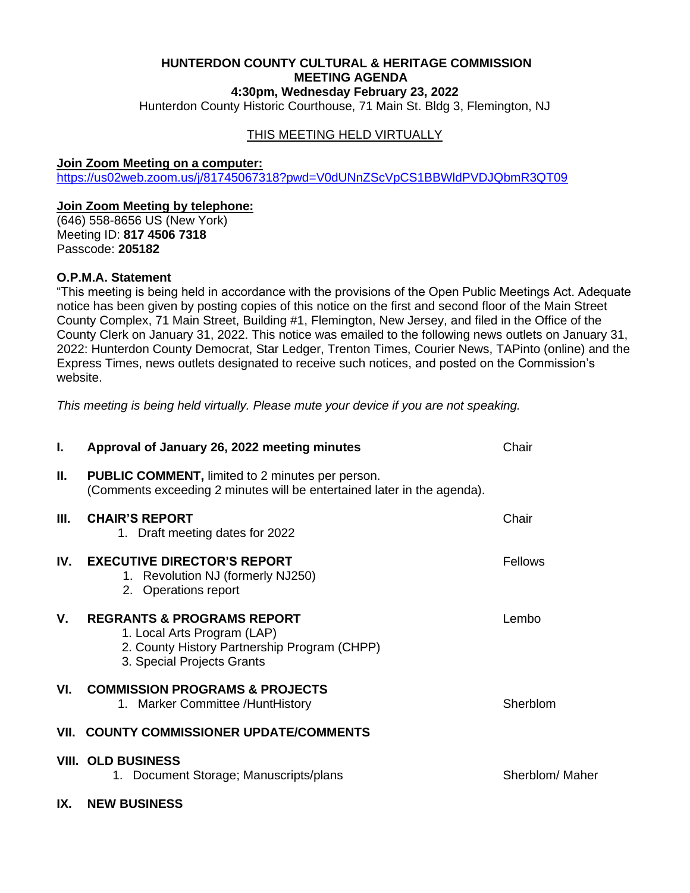## **HUNTERDON COUNTY CULTURAL & HERITAGE COMMISSION MEETING AGENDA 4:30pm, Wednesday February 23, 2022**

Hunterdon County Historic Courthouse, 71 Main St. Bldg 3, Flemington, NJ

## THIS MEETING HELD VIRTUALLY

#### **Join Zoom Meeting on a computer:**

<https://us02web.zoom.us/j/81745067318?pwd=V0dUNnZScVpCS1BBWldPVDJQbmR3QT09>

#### **Join Zoom Meeting by telephone:**

(646) 558-8656 US (New York) Meeting ID: **817 4506 7318** Passcode: **205182**

### **O.P.M.A. Statement**

"This meeting is being held in accordance with the provisions of the Open Public Meetings Act. Adequate notice has been given by posting copies of this notice on the first and second floor of the Main Street County Complex, 71 Main Street, Building #1, Flemington, New Jersey, and filed in the Office of the County Clerk on January 31, 2022. This notice was emailed to the following news outlets on January 31, 2022: Hunterdon County Democrat, Star Ledger, Trenton Times, Courier News, TAPinto (online) and the Express Times, news outlets designated to receive such notices, and posted on the Commission's website.

*This meeting is being held virtually. Please mute your device if you are not speaking.*

| L.  | Approval of January 26, 2022 meeting minutes                                                                                                       | Chair           |
|-----|----------------------------------------------------------------------------------------------------------------------------------------------------|-----------------|
| Н.  | <b>PUBLIC COMMENT, limited to 2 minutes per person.</b><br>(Comments exceeding 2 minutes will be entertained later in the agenda).                 |                 |
| Ш.  | <b>CHAIR'S REPORT</b><br>1. Draft meeting dates for 2022                                                                                           | Chair           |
| IV. | <b>EXECUTIVE DIRECTOR'S REPORT</b><br>1. Revolution NJ (formerly NJ250)<br>2. Operations report                                                    | Fellows         |
| V.  | <b>REGRANTS &amp; PROGRAMS REPORT</b><br>1. Local Arts Program (LAP)<br>2. County History Partnership Program (CHPP)<br>3. Special Projects Grants | Lembo           |
| VI. | <b>COMMISSION PROGRAMS &amp; PROJECTS</b><br>1. Marker Committee / Hunt History                                                                    | Sherblom        |
|     | VII. COUNTY COMMISSIONER UPDATE/COMMENTS                                                                                                           |                 |
|     | <b>VIII. OLD BUSINESS</b><br>1. Document Storage; Manuscripts/plans                                                                                | Sherblom/ Maher |
| IX. | <b>NEW BUSINESS</b>                                                                                                                                |                 |